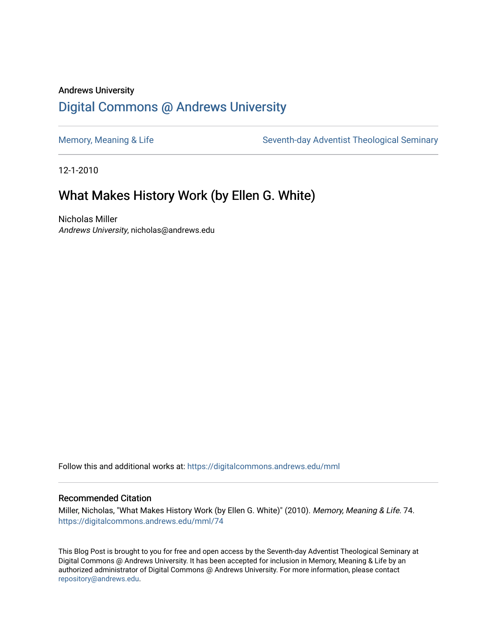#### Andrews University [Digital Commons @ Andrews University](https://digitalcommons.andrews.edu/)

[Memory, Meaning & Life](https://digitalcommons.andrews.edu/mml) Seventh-day Adventist Theological Seminary

12-1-2010

#### What Makes History Work (by Ellen G. White)

Nicholas Miller Andrews University, nicholas@andrews.edu

Follow this and additional works at: [https://digitalcommons.andrews.edu/mml](https://digitalcommons.andrews.edu/mml?utm_source=digitalcommons.andrews.edu%2Fmml%2F74&utm_medium=PDF&utm_campaign=PDFCoverPages) 

#### Recommended Citation

Miller, Nicholas, "What Makes History Work (by Ellen G. White)" (2010). Memory, Meaning & Life. 74. [https://digitalcommons.andrews.edu/mml/74](https://digitalcommons.andrews.edu/mml/74?utm_source=digitalcommons.andrews.edu%2Fmml%2F74&utm_medium=PDF&utm_campaign=PDFCoverPages)

This Blog Post is brought to you for free and open access by the Seventh-day Adventist Theological Seminary at Digital Commons @ Andrews University. It has been accepted for inclusion in Memory, Meaning & Life by an authorized administrator of Digital Commons @ Andrews University. For more information, please contact [repository@andrews.edu](mailto:repository@andrews.edu).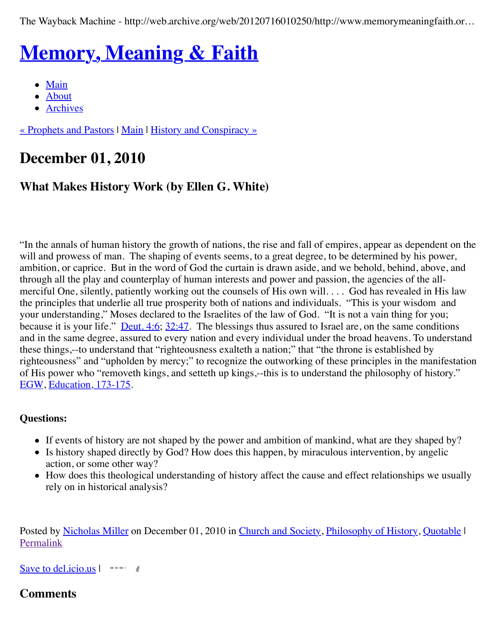The Wayback Machine - http://web.archive.org/web/20120716010250/http://www.memorymeaningfaith.or…

# **[Memory, Meaning & Faith](http://web.archive.org/web/20120716010250/http://www.memorymeaningfaith.org/blog/)**

- $\bullet$  [Main](http://web.archive.org/web/20120716010250/http://www.memorymeaningfaith.org/blog)
- [About](http://web.archive.org/web/20120716010250/http://www.memorymeaningfaith.org/blog/about.html)
- [Archives](http://web.archive.org/web/20120716010250/http://www.memorymeaningfaith.org/blog/archives.html)

[« Prophets and Pastors](http://web.archive.org/web/20120716010250/http://www.memorymeaningfaith.org/blog/2010/11/prophets-and-pastors.html) | [Main](http://web.archive.org/web/20120716010250/http://www.memorymeaningfaith.org/blog/) | [History and Conspiracy »](http://web.archive.org/web/20120716010250/http://www.memorymeaningfaith.org/blog/2010/12/history-and-conspiracy.html)

# **December 01, 2010**

#### **What Makes History Work (by Ellen G. White)**

"In the annals of human history the growth of nations, the rise and fall of empires, appear as dependent on the will and prowess of man. The shaping of events seems, to a great degree, to be determined by his power, ambition, or caprice. But in the word of God the curtain is drawn aside, and we behold, behind, above, and through all the play and counterplay of human interests and power and passion, the agencies of the allmerciful One, silently, patiently working out the counsels of His own will. . . . God has revealed in His law the principles that underlie all true prosperity both of nations and individuals. "This is your wisdom and your understanding," Moses declared to the Israelites of the law of God. "It is not a vain thing for you; because it is your life." <u>[Deut. 4:6;](http://web.archive.org/web/20120716010250/http://www.biblestudytools.com/nkj/deuteronomy/4-6.html) 32:47</u>. The blessings thus assured to Israel are, on the same conditions and in the same degree, assured to every nation and every individual under the broad heavens. To understand these things,--to understand that "righteousness exalteth a nation;" that "the throne is established by righteousness" and "upholden by mercy;" to recognize the outworking of these principles in the manifestation of His power who "removeth kings, and setteth up kings,--this is to understand the philosophy of history." [EGW,](http://web.archive.org/web/20120716010250/http://www.whiteestate.org/about/egwbio.asp) [Education, 173-175.](http://web.archive.org/web/20120716010250/http://www.whiteestate.org/books/ed/ed19.html)

#### **Questions:**

- If events of history are not shaped by the power and ambition of mankind, what are they shaped by?
- Is history shaped directly by God? How does this happen, by miraculous intervention, by angelic action, or some other way?
- How does this theological understanding of history affect the cause and effect relationships we usually rely on in historical analysis?

Posted by [Nicholas Miller](http://web.archive.org/web/20120716010250/http://profile.typepad.com/npmiller) on December 01, 2010 in [Church and Society,](http://web.archive.org/web/20120716010250/http://www.memorymeaningfaith.org/blog/church-and-society/) [Philosophy of History](http://web.archive.org/web/20120716010250/http://www.memorymeaningfaith.org/blog/philosophy-of-history/), [Quotable](http://web.archive.org/web/20120716010250/http://www.memorymeaningfaith.org/blog/sources/) I [Permalink](http://web.archive.org/web/20120716010250/http://www.memorymeaningfaith.org/blog/2010/11/what-makes-history-work.html)

[Save to del.icio.us](http://web.archive.org/web/20120716010250/http://del.icio.us/post) |

#### **Comments**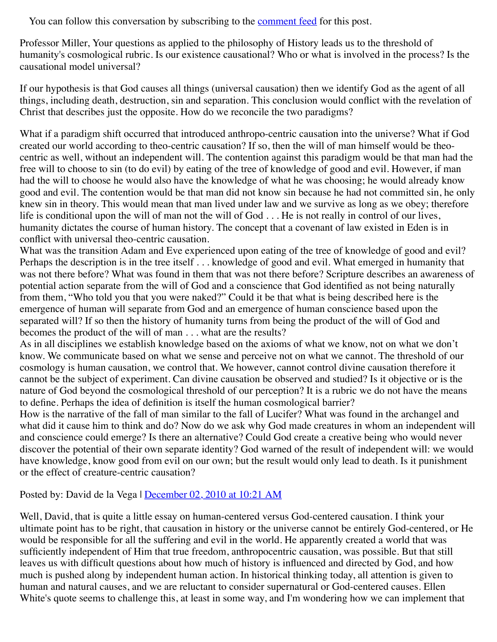You can follow this conversation by subscribing to the [comment feed](http://web.archive.org/web/20120716010250/http://www.memorymeaningfaith.org/blog/2010/11/what-makes-history-work/comments/atom.xml) for this post.

Professor Miller, Your questions as applied to the philosophy of History leads us to the threshold of humanity's cosmological rubric. Is our existence causational? Who or what is involved in the process? Is the causational model universal?

If our hypothesis is that God causes all things (universal causation) then we identify God as the agent of all things, including death, destruction, sin and separation. This conclusion would conflict with the revelation of Christ that describes just the opposite. How do we reconcile the two paradigms?

What if a paradigm shift occurred that introduced anthropo-centric causation into the universe? What if God created our world according to theo-centric causation? If so, then the will of man himself would be theocentric as well, without an independent will. The contention against this paradigm would be that man had the free will to choose to sin (to do evil) by eating of the tree of knowledge of good and evil. However, if man had the will to choose he would also have the knowledge of what he was choosing; he would already know good and evil. The contention would be that man did not know sin because he had not committed sin, he only knew sin in theory. This would mean that man lived under law and we survive as long as we obey; therefore life is conditional upon the will of man not the will of God . . . He is not really in control of our lives, humanity dictates the course of human history. The concept that a covenant of law existed in Eden is in conflict with universal theo-centric causation.

What was the transition Adam and Eve experienced upon eating of the tree of knowledge of good and evil? Perhaps the description is in the tree itself . . . knowledge of good and evil. What emerged in humanity that was not there before? What was found in them that was not there before? Scripture describes an awareness of potential action separate from the will of God and a conscience that God identified as not being naturally from them, "Who told you that you were naked?" Could it be that what is being described here is the emergence of human will separate from God and an emergence of human conscience based upon the separated will? If so then the history of humanity turns from being the product of the will of God and becomes the product of the will of man . . . what are the results?

As in all disciplines we establish knowledge based on the axioms of what we know, not on what we don't know. We communicate based on what we sense and perceive not on what we cannot. The threshold of our cosmology is human causation, we control that. We however, cannot control divine causation therefore it cannot be the subject of experiment. Can divine causation be observed and studied? Is it objective or is the nature of God beyond the cosmological threshold of our perception? It is a rubric we do not have the means to define. Perhaps the idea of definition is itself the human cosmological barrier?

How is the narrative of the fall of man similar to the fall of Lucifer? What was found in the archangel and what did it cause him to think and do? Now do we ask why God made creatures in whom an independent will and conscience could emerge? Is there an alternative? Could God create a creative being who would never discover the potential of their own separate identity? God warned of the result of independent will: we would have knowledge, know good from evil on our own; but the result would only lead to death. Is it punishment or the effect of creature-centric causation?

#### Posted by: David de la Vega | [December 02, 2010 at 10:21 AM](http://web.archive.org/web/20120716010250/http://www.memorymeaningfaith.org/blog/2010/11/what-makes-history-work.html?cid=6a01287656f488970c0147e05162e3970b#comment-6a01287656f488970c0147e05162e3970b)

Well, David, that is quite a little essay on human-centered versus God-centered causation. I think your ultimate point has to be right, that causation in history or the universe cannot be entirely God-centered, or He would be responsible for all the suffering and evil in the world. He apparently created a world that was sufficiently independent of Him that true freedom, anthropocentric causation, was possible. But that still leaves us with difficult questions about how much of history is influenced and directed by God, and how much is pushed along by independent human action. In historical thinking today, all attention is given to human and natural causes, and we are reluctant to consider supernatural or God-centered causes. Ellen White's quote seems to challenge this, at least in some way, and I'm wondering how we can implement that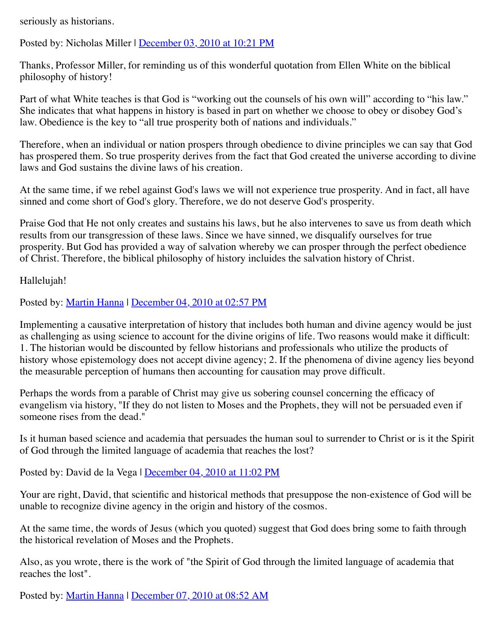seriously as historians.

Posted by: Nicholas Miller | [December 03, 2010 at 10:21 PM](http://web.archive.org/web/20120716010250/http://www.memorymeaningfaith.org/blog/2010/11/what-makes-history-work.html?cid=6a01287656f488970c0148c665bb3d970c#comment-6a01287656f488970c0148c665bb3d970c)

Thanks, Professor Miller, for reminding us of this wonderful quotation from Ellen White on the biblical philosophy of history!

Part of what White teaches is that God is "working out the counsels of his own will" according to "his law." She indicates that what happens in history is based in part on whether we choose to obey or disobey God's law. Obedience is the key to "all true prosperity both of nations and individuals."

Therefore, when an individual or nation prospers through obedience to divine principles we can say that God has prospered them. So true prosperity derives from the fact that God created the universe according to divine laws and God sustains the divine laws of his creation.

At the same time, if we rebel against God's laws we will not experience true prosperity. And in fact, all have sinned and come short of God's glory. Therefore, we do not deserve God's prosperity.

Praise God that He not only creates and sustains his laws, but he also intervenes to save us from death which results from our transgression of these laws. Since we have sinned, we disqualify ourselves for true prosperity. But God has provided a way of salvation whereby we can prosper through the perfect obedience of Christ. Therefore, the biblical philosophy of history incluides the salvation history of Christ.

Hallelujah!

Posted by: [Martin Hanna](http://web.archive.org/web/20120716010250/http://cosmicchristconnections.blogspot.com/) | [December 04, 2010 at 02:57 PM](http://web.archive.org/web/20120716010250/http://www.memorymeaningfaith.org/blog/2010/11/what-makes-history-work.html?cid=6a01287656f488970c0147e0609c85970b#comment-6a01287656f488970c0147e0609c85970b)

Implementing a causative interpretation of history that includes both human and divine agency would be just as challenging as using science to account for the divine origins of life. Two reasons would make it difficult: 1. The historian would be discounted by fellow historians and professionals who utilize the products of history whose epistemology does not accept divine agency; 2. If the phenomena of divine agency lies beyond the measurable perception of humans then accounting for causation may prove difficult.

Perhaps the words from a parable of Christ may give us sobering counsel concerning the efficacy of evangelism via history, "If they do not listen to Moses and the Prophets, they will not be persuaded even if someone rises from the dead."

Is it human based science and academia that persuades the human soul to surrender to Christ or is it the Spirit of God through the limited language of academia that reaches the lost?

Posted by: David de la Vega | [December 04, 2010 at 11:02 PM](http://web.archive.org/web/20120716010250/http://www.memorymeaningfaith.org/blog/2010/11/what-makes-history-work.html?cid=6a01287656f488970c0148c66be64a970c#comment-6a01287656f488970c0148c66be64a970c)

Your are right, David, that scientific and historical methods that presuppose the non-existence of God will be unable to recognize divine agency in the origin and history of the cosmos.

At the same time, the words of Jesus (which you quoted) suggest that God does bring some to faith through the historical revelation of Moses and the Prophets.

Also, as you wrote, there is the work of "the Spirit of God through the limited language of academia that reaches the lost".

Posted by: [Martin Hanna](http://web.archive.org/web/20120716010250/http://cosmicchristconnections.blogspot.com/) | [December 07, 2010 at 08:52 AM](http://web.archive.org/web/20120716010250/http://www.memorymeaningfaith.org/blog/2010/11/what-makes-history-work.html?cid=6a01287656f488970c0148c67c2f53970c#comment-6a01287656f488970c0148c67c2f53970c)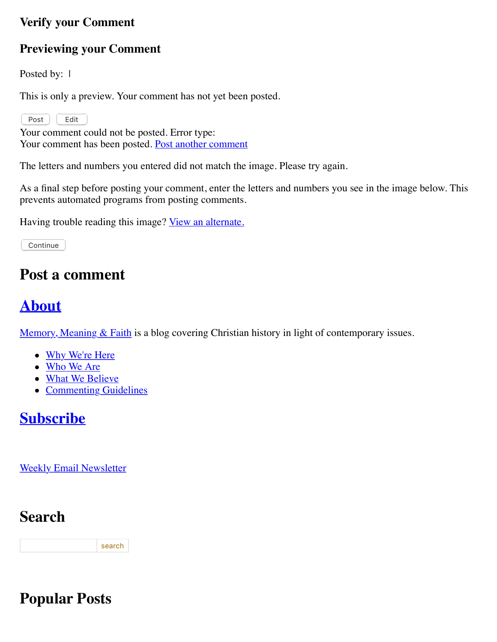#### **Verify your Comment**

#### **Previewing your Comment**

Posted by: 1

This is only a preview. Your comment has not yet been posted.

Post | Edit

Your comment could not be posted. Error type: Your comment has been posted. [Post another comment](javascript:void%200;)

<span id="page-4-0"></span>The letters and numbers you entered did not match the image. Please try again.

As a final step before posting your comment, enter the letters and numbers you see in the image below. This prevents automated programs from posting comments.

Having trouble reading this image? [View an alternate.](#page-4-0)

Continue

#### **Post a comment**

# **[About](http://web.archive.org/web/20120716010250/http://memorymeaningfaith.typepad.com/blog/about.html)**

Memory, Meaning  $& Faith$  is a blog covering Christian history in light of contemporary issues.

- [Why We're Here](http://web.archive.org/web/20120716010250/http://www.memorymeaningfaith.org/blog/why-were-here.html)
- [Who We Are](http://web.archive.org/web/20120716010250/http://www.memorymeaningfaith.org/blog/who-we-are.html)
- [What We Believe](http://web.archive.org/web/20120716010250/http://www.memorymeaningfaith.org/blog/what-we-believe.html)
- [Commenting Guidelines](http://web.archive.org/web/20120716010250/http://www.memorymeaningfaith.org/blog/commenting-guidelines.html)

# **[Subscribe](http://web.archive.org/web/20120716010250/http://www.memorymeaningfaith.org/blog/subscribe.html)**

[Weekly Email Newsletter](http://web.archive.org/web/20120716010250/http://eepurl.com/im9P)

### **Search**

search

### **Popular Posts**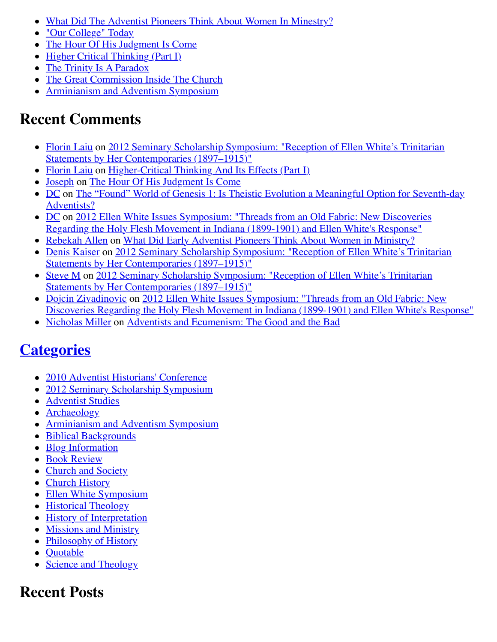- [What Did The Adventist Pioneers Think About Women In Minestry?](http://web.archive.org/web/20120716010250/http://www.memorymeaningfaith.org/blog/2010/04/adventist-pioneers-women-ministry.html)
- ["Our College" Today](http://web.archive.org/web/20120716010250/http://www.memorymeaningfaith.org/blog/2010/06/our-college-today-.html)
- [The Hour Of His Judgment Is Come](http://web.archive.org/web/20120716010250/http://www.memorymeaningfaith.org/blog/2010/04/hour-judgment-is-come.html)
- $\bullet$  [Higher Critical Thinking \(Part I\)](http://web.archive.org/web/20120716010250/http://www.memorymeaningfaith.org/blog/2010/03/highercritical-thinking-part-i.html)
- [The Trinity Is A Paradox](http://web.archive.org/web/20120716010250/http://www.memorymeaningfaith.org/blog/2010/03/the-trinity-is-a-paradox.html)
- [The Great Commission Inside The Church](http://web.archive.org/web/20120716010250/http://www.memorymeaningfaith.org/blog/2010/04/the-great-comission-inside-the-church.html)
- [Arminianism and Adventism Symposium](http://web.archive.org/web/20120716010250/http://www.memorymeaningfaith.org/blog/arminianism-and-adventism-symposium/)

# **Recent Comments**

- [Florin Laiu on 2012 Seminary Scholarship Symposium: "Reception of Ellen White's Trinitarian](http://web.archive.org/web/20120716010250/http://www.memorymeaningfaith.org/blog/2012/02/2012-seminary-scholarship-symposium-.html) Statements by Her Contemporaries (1897–1915)"
- [Florin Laiu](http://web.archive.org/web/20120716010250/http://www.memorymeaningfaith.org/blog/2010/03/highercritical-thinking-part-i.html?cid=6a01287656f488970c017615d52191970c#comment-6a01287656f488970c017615d52191970c) on [Higher-Critical Thinking And Its Effects \(Part I\)](http://web.archive.org/web/20120716010250/http://www.memorymeaningfaith.org/blog/2010/03/highercritical-thinking-part-i.html)
- [Joseph](http://web.archive.org/web/20120716010250/http://www.memorymeaningfaith.org/blog/2010/04/hour-judgment-is-come.html?cid=6a01287656f488970c0176159b59aa970c#comment-6a01287656f488970c0176159b59aa970c) on [The Hour Of His Judgment Is Come](http://web.archive.org/web/20120716010250/http://www.memorymeaningfaith.org/blog/2010/04/hour-judgment-is-come.html)
- [DC on The "Found" World of Genesis 1: Is Theistic Evolution a Meaningful Option for Seventh-day](http://web.archive.org/web/20120716010250/http://www.memorymeaningfaith.org/blog/2011/01/found-world-of-genesis-1-theistic-evolution-1.html) Adventists?
- [DC on 2012 Ellen White Issues Symposium: "Threads from an Old Fabric: New Discoveries](http://web.archive.org/web/20120716010250/http://www.memorymeaningfaith.org/blog/2012/04/2012-ellen-whites-issues-symposium-threads-from-an-old-fabric-holy-flesh-movement-indiana.html) Regarding the Holy Flesh Movement in Indiana (1899-1901) and Ellen White's Response"
- [Rebekah Allen](http://web.archive.org/web/20120716010250/http://www.memorymeaningfaith.org/blog/2010/04/adventist-pioneers-women-ministry.html?cid=6a01287656f488970c0168eb2eb63d970c#comment-6a01287656f488970c0168eb2eb63d970c) on [What Did Early Adventist Pioneers Think About Women in Ministry?](http://web.archive.org/web/20120716010250/http://www.memorymeaningfaith.org/blog/2010/04/adventist-pioneers-women-ministry.html)
- [Denis Kaiser on 2012 Seminary Scholarship Symposium: "Reception of Ellen White's Trinitarian](http://web.archive.org/web/20120716010250/http://www.memorymeaningfaith.org/blog/2012/02/2012-seminary-scholarship-symposium-.html) Statements by Her Contemporaries (1897–1915)"
- [Steve M on 2012 Seminary Scholarship Symposium: "Reception of Ellen White's Trinitarian](http://web.archive.org/web/20120716010250/http://www.memorymeaningfaith.org/blog/2012/02/2012-seminary-scholarship-symposium-.html) Statements by Her Contemporaries (1897–1915)"
- [Dojcin Zivadinovic](http://web.archive.org/web/20120716010250/http://www.memorymeaningfaith.org/blog/2012/04/2012-ellen-whites-issues-symposium-threads-from-an-old-fabric-holy-flesh-movement-indiana.html?cid=6a01287656f488970c0168ea439e71970c#comment-6a01287656f488970c0168ea439e71970c) on 2012 Ellen White Issues Symposium: "Threads from an Old Fabric: New [Discoveries Regarding the Holy Flesh Movement in Indiana \(1899-1901\) and Ellen White's Response"](http://web.archive.org/web/20120716010250/http://www.memorymeaningfaith.org/blog/2012/04/2012-ellen-whites-issues-symposium-threads-from-an-old-fabric-holy-flesh-movement-indiana.html)
- [Nicholas Miller](http://web.archive.org/web/20120716010250/http://www.memorymeaningfaith.org/blog/2012/02/adventists-and-ecumenism-the-good-and-the-bad.html?cid=6a01287656f488970c01676529bb76970b#comment-6a01287656f488970c01676529bb76970b) on [Adventists and Ecumenism: The Good and the Bad](http://web.archive.org/web/20120716010250/http://www.memorymeaningfaith.org/blog/2012/02/adventists-and-ecumenism-the-good-and-the-bad.html)

# **[Categories](http://web.archive.org/web/20120716010250/http://www.memorymeaningfaith.org/blog/archives.html)**

- [2010 Adventist Historians' Conference](http://web.archive.org/web/20120716010250/http://www.memorymeaningfaith.org/blog/2010-adventist-historians-conference/)
- [2012 Seminary Scholarship Symposium](http://web.archive.org/web/20120716010250/http://www.memorymeaningfaith.org/blog/2012-seminary-scholarship-symposium/)
- [Adventist Studies](http://web.archive.org/web/20120716010250/http://www.memorymeaningfaith.org/blog/adventist-studies/)
- [Archaeology](http://web.archive.org/web/20120716010250/http://www.memorymeaningfaith.org/blog/archaeology/)
- [Arminianism and Adventism Symposium](http://web.archive.org/web/20120716010250/http://www.memorymeaningfaith.org/blog/arminianism-and-adventism-symposium/)
- [Biblical Backgrounds](http://web.archive.org/web/20120716010250/http://www.memorymeaningfaith.org/blog/biblical-backgrounds/)
- [Blog Information](http://web.archive.org/web/20120716010250/http://www.memorymeaningfaith.org/blog/blog-info/)
- [Book Review](http://web.archive.org/web/20120716010250/http://www.memorymeaningfaith.org/blog/book-review/)
- [Church and Society](http://web.archive.org/web/20120716010250/http://www.memorymeaningfaith.org/blog/church-and-society/)
- [Church History](http://web.archive.org/web/20120716010250/http://www.memorymeaningfaith.org/blog/church-history/)
- [Ellen White Symposium](http://web.archive.org/web/20120716010250/http://www.memorymeaningfaith.org/blog/ellen-white-symposium/)
- [Historical Theology](http://web.archive.org/web/20120716010250/http://www.memorymeaningfaith.org/blog/theology/)
- [History of Interpretation](http://web.archive.org/web/20120716010250/http://www.memorymeaningfaith.org/blog/history-of-interpretation/)
- [Missions and Ministry](http://web.archive.org/web/20120716010250/http://www.memorymeaningfaith.org/blog/missions-and-ministry/)
- [Philosophy of History](http://web.archive.org/web/20120716010250/http://www.memorymeaningfaith.org/blog/philosophy-of-history/)
- **Ouotable**
- [Science and Theology](http://web.archive.org/web/20120716010250/http://www.memorymeaningfaith.org/blog/science-and-theology/)

# **Recent Posts**